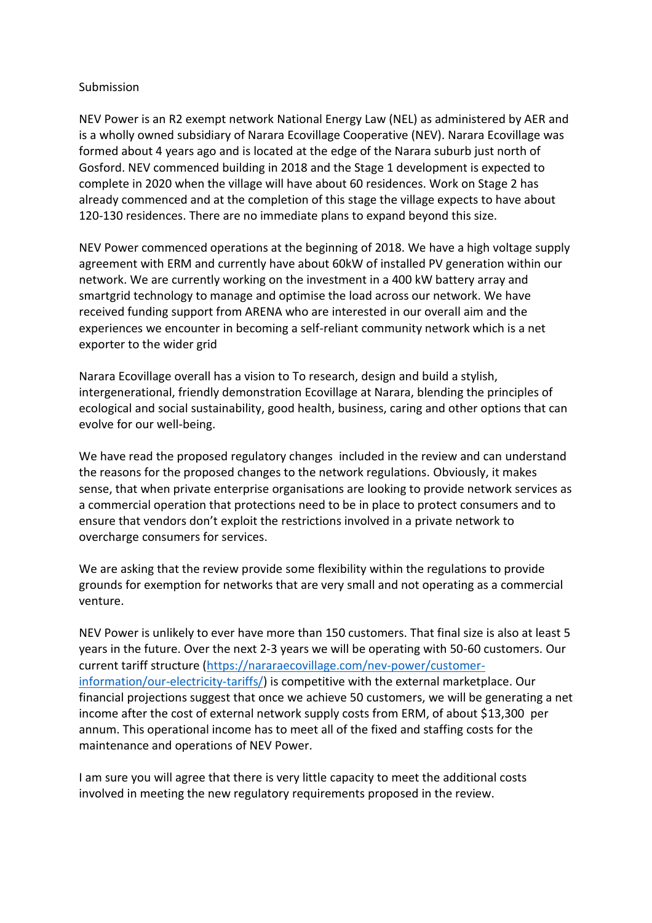## Submission

NEV Power is an R2 exempt network National Energy Law (NEL) as administered by AER and is a wholly owned subsidiary of Narara Ecovillage Cooperative (NEV). Narara Ecovillage was formed about 4 years ago and is located at the edge of the Narara suburb just north of Gosford. NEV commenced building in 2018 and the Stage 1 development is expected to complete in 2020 when the village will have about 60 residences. Work on Stage 2 has already commenced and at the completion of this stage the village expects to have about 120-130 residences. There are no immediate plans to expand beyond this size.

NEV Power commenced operations at the beginning of 2018. We have a high voltage supply agreement with ERM and currently have about 60kW of installed PV generation within our network. We are currently working on the investment in a 400 kW battery array and smartgrid technology to manage and optimise the load across our network. We have received funding support from ARENA who are interested in our overall aim and the experiences we encounter in becoming a self-reliant community network which is a net exporter to the wider grid

Narara Ecovillage overall has a vision to To research, design and build a stylish, intergenerational, friendly demonstration Ecovillage at Narara, blending the principles of ecological and social sustainability, good health, business, caring and other options that can evolve for our well-being.

We have read the proposed regulatory changes included in the review and can understand the reasons for the proposed changes to the network regulations. Obviously, it makes sense, that when private enterprise organisations are looking to provide network services as a commercial operation that protections need to be in place to protect consumers and to ensure that vendors don't exploit the restrictions involved in a private network to overcharge consumers for services.

We are asking that the review provide some flexibility within the regulations to provide grounds for exemption for networks that are very small and not operating as a commercial venture.

NEV Power is unlikely to ever have more than 150 customers. That final size is also at least 5 years in the future. Over the next 2-3 years we will be operating with 50-60 customers. Our current tariff structure (https://nararaecovillage.com/nev-power/customerinformation/our-electricity-tariffs/) is competitive with the external marketplace. Our financial projections suggest that once we achieve 50 customers, we will be generating a net income after the cost of external network supply costs from ERM, of about \$13,300 per annum. This operational income has to meet all of the fixed and staffing costs for the maintenance and operations of NEV Power.

I am sure you will agree that there is very little capacity to meet the additional costs involved in meeting the new regulatory requirements proposed in the review.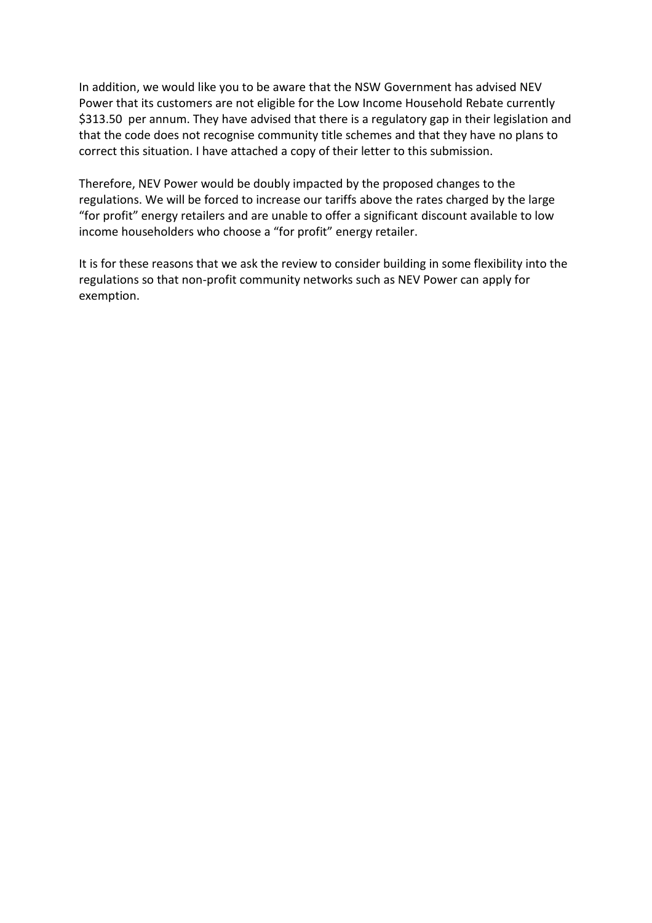In addition, we would like you to be aware that the NSW Government has advised NEV Power that its customers are not eligible for the Low Income Household Rebate currently \$313.50 per annum. They have advised that there is a regulatory gap in their legislation and that the code does not recognise community title schemes and that they have no plans to correct this situation. I have attached a copy of their letter to this submission.

Therefore, NEV Power would be doubly impacted by the proposed changes to the regulations. We will be forced to increase our tariffs above the rates charged by the large "for profit" energy retailers and are unable to offer a significant discount available to low income householders who choose a "for profit" energy retailer.

It is for these reasons that we ask the review to consider building in some flexibility into the regulations so that non-profit community networks such as NEV Power can apply for exemption.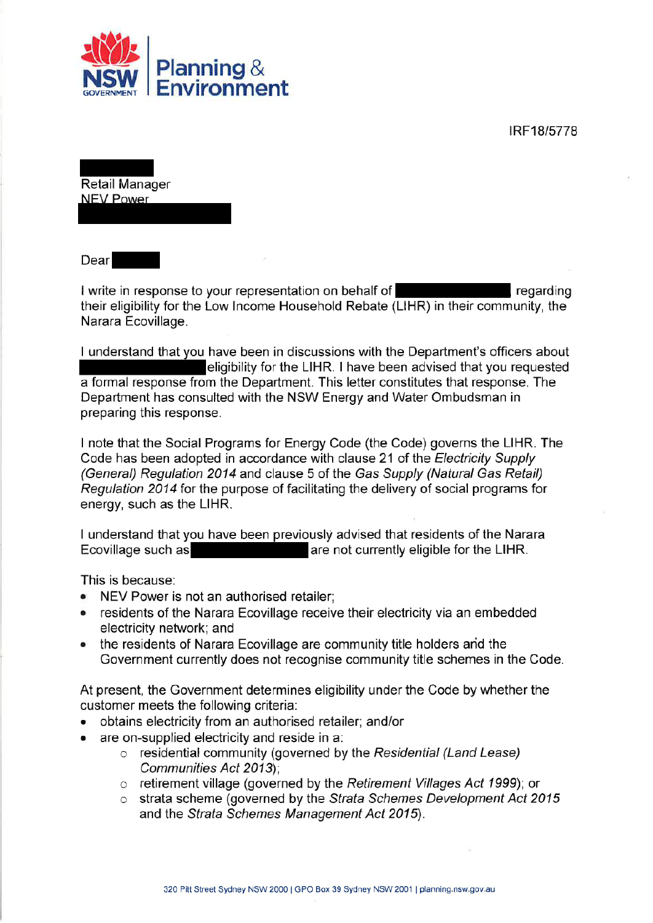IRF18/5778



Retail Manager NEV Power

Dear

I write in response to your representation on behalf of regarding their eligibility for the Low Income Household Rebate (LIHR) in their community, the Narara Ecovillage.

I understand that you have been in discussions with the Department's officers about eligibility for the LIHR. I have been advised that you requested a formal response from the Department. This letter constitutes that response. The Department has consulted with the NSW Energy and Water Ombudsman in preparing this response.

I note that the Social Programs for Energy Code (the Code) governs the LIHR. The Code has been adopted in accordance with clause 21 of the Electricity Supply (General) Regulation 2014 and clause 5 of the Gas Supply (Natural Gas Retail) Regulation 2014 for the purpose of facilitating the delivery of social programs for energy, such as the LIHR.

I understand that you have been previously advised that residents of the Narara Ecovillage such as Ecovillage such as Ecovillage such as

This is because:

- NEV Power is not an authorised retailer;
- residents of the Narara Ecovillage receive their electricity via an embedded electricity network; and
- the residents of Narara Ecovillage are community title holders and the Government currently does not recognise community title schemes in the Code.

At present, the Government determines eligibility under the Code by whether the customer meets the following criteria:

- obtains electricity from an authorised retailer; and/or
- are on-supplied electricity and reside in a:
	- o residential community (governed by the Residential (Land Lease) Communities Act 2013);
	- $\circ$  retirement village (governed by the Retirement Villages Act 1999); or
	- o strata scheme (governed by the Strata Schemes Development Act 2015 and the Strata Schemes Management Act 2015).